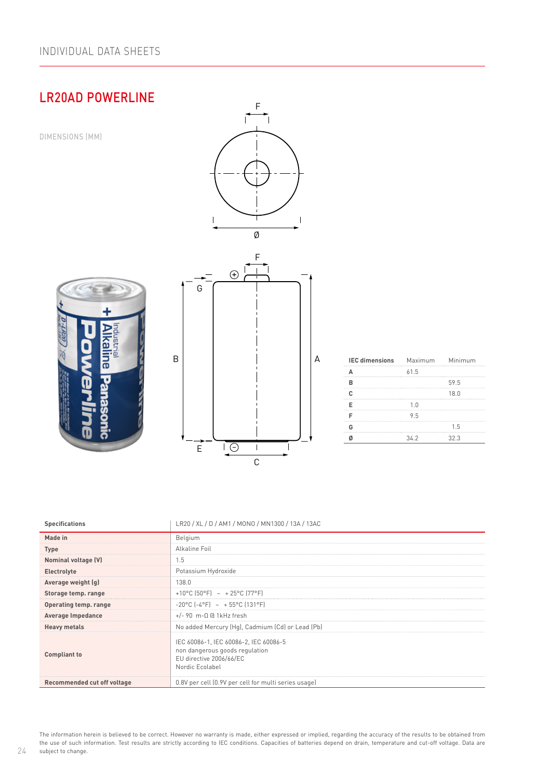# LR20AD POWERLINE



| <b>Specifications</b>       | LR20 / XL / D / AM1 / MONO / MN1300 / 13A / 13AC                                                                      |
|-----------------------------|-----------------------------------------------------------------------------------------------------------------------|
| Made in                     | Belgium                                                                                                               |
| <b>Type</b>                 | Alkaline Foil                                                                                                         |
| Nominal voltage (V)         | 1.5                                                                                                                   |
| Electrolyte                 | Potassium Hydroxide                                                                                                   |
| Average weight (g)          | 138.0                                                                                                                 |
| Storage temp. range         | +10°C (50°F) ~ +25°C (77°F)                                                                                           |
| Operating temp. range       | $-20^{\circ}$ C $[-4^{\circ}$ F $]$ ~ + 55°C $[131^{\circ}$ F $]$                                                     |
| <b>Average Impedance</b>    | $+/-$ 90 m- $\Omega$ @ 1kHz fresh                                                                                     |
| <b>Heavy metals</b>         | No added Mercury (Hg), Cadmium (Cd) or Lead (Pb)                                                                      |
| <b>Compliant to</b>         | IEC 60086-1, IEC 60086-2, IEC 60086-5<br>non dangerous goods regulation<br>EU directive 2006/66/EC<br>Nordic Ecolabel |
| Recommended cut off voltage | 0.8V per cell (0.9V per cell for multi series usage)                                                                  |

The information herein is believed to be correct. However no warranty is made, either expressed or implied, regarding the accuracy of the results to be obtained from the use of such information. Test results are strictly according to IEC conditions. Capacities of batteries depend on drain, temperature and cut-off voltage. Data are subject to change.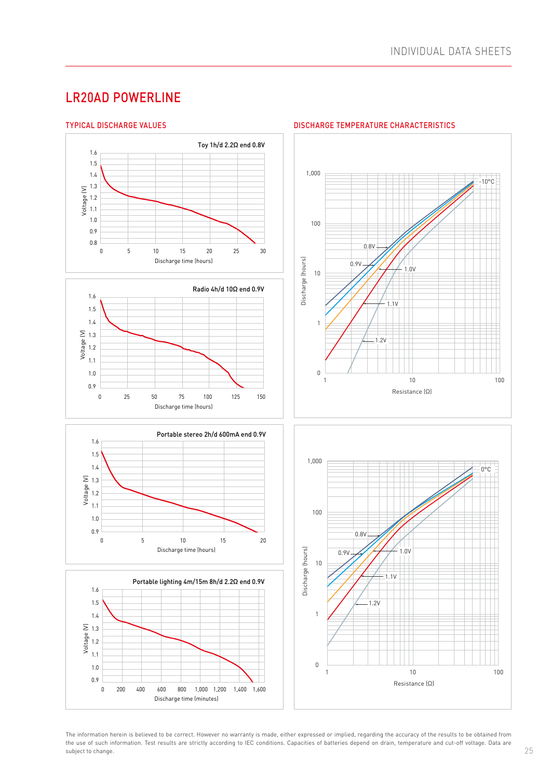## LR20AD POWERLINE



The information herein is believed to be correct. However no warranty is made, either expressed or implied, regarding the accuracy of the results to be obtained from the use of such information. Test results are strictly according to IEC conditions. Capacities of batteries depend on drain, temperature and cut-off voltage. Data are subject to change.

#### **DISCHARGE TEMPERATURE CHARACTERISTICS**